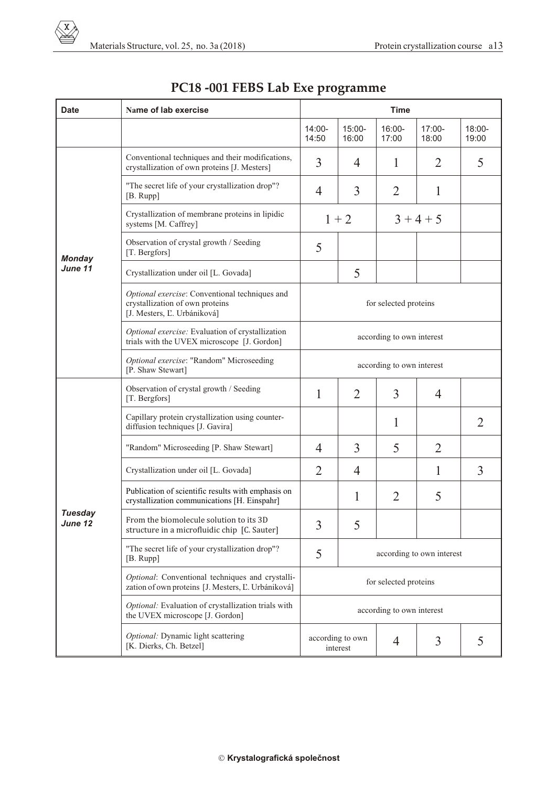| <b>Date</b>               | Name of lab exercise                                                                                             | <b>Time</b>                    |                                        |                    |                   |                    |  |  |  |
|---------------------------|------------------------------------------------------------------------------------------------------------------|--------------------------------|----------------------------------------|--------------------|-------------------|--------------------|--|--|--|
|                           |                                                                                                                  | $14:00 -$<br>14:50             | $15:00 -$<br>16:00                     | $16:00 -$<br>17:00 | $17:00-$<br>18:00 | $18:00 -$<br>19:00 |  |  |  |
| <b>Monday</b><br>June 11  | Conventional techniques and their modifications,<br>crystallization of own proteins [J. Mesters]                 | 3                              | 4                                      | 1                  | 2                 | 5                  |  |  |  |
|                           | "The secret life of your crystallization drop"?<br>$[B. \text{Rupp}]$                                            | $\overline{4}$                 | 3                                      | $\overline{2}$     | 1                 |                    |  |  |  |
|                           | Crystallization of membrane proteins in lipidic<br>systems [M. Caffrey]                                          | $1 + 2$                        |                                        | $3 + 4 + 5$        |                   |                    |  |  |  |
|                           | Observation of crystal growth / Seeding<br>[T. Bergfors]                                                         | 5                              |                                        |                    |                   |                    |  |  |  |
|                           | Crystallization under oil [L. Govada]                                                                            |                                | 5                                      |                    |                   |                    |  |  |  |
|                           | Optional exercise: Conventional techniques and<br>crystallization of own proteins<br>[J. Mesters, L. Urbániková] | for selected proteins          |                                        |                    |                   |                    |  |  |  |
|                           | Optional exercise: Evaluation of crystallization<br>trials with the UVEX microscope [J. Gordon]                  | according to own interest      |                                        |                    |                   |                    |  |  |  |
|                           | Optional exercise: "Random" Microseeding<br>[P. Shaw Stewart]                                                    | according to own interest      |                                        |                    |                   |                    |  |  |  |
| <b>Tuesday</b><br>June 12 | Observation of crystal growth / Seeding<br>[T. Bergfors]                                                         | 1                              | $\overline{2}$                         | 3                  | $\overline{4}$    |                    |  |  |  |
|                           | Capillary protein crystallization using counter-<br>diffusion techniques [J. Gavira]                             |                                |                                        | 1                  |                   | 2                  |  |  |  |
|                           | "Random" Microseeding [P. Shaw Stewart]                                                                          | 4                              | 3                                      | 5                  | 2                 |                    |  |  |  |
|                           | Crystallization under oil [L. Govada]                                                                            | $\overline{2}$                 | $\overline{4}$                         |                    | 1                 | 3                  |  |  |  |
|                           | Publication of scientific results with emphasis on<br>crystallization communications [H. Einspahr]               |                                | 1                                      | $\overline{2}$     | 5                 |                    |  |  |  |
|                           | From the biomolecule solution to its 3D<br>structure in a microfluidic chip [C. Sauter]                          | 3                              | 5                                      |                    |                   |                    |  |  |  |
|                           | "The secret life of your crystallization drop"?<br>[B. Rupp]                                                     | 5<br>according to own interest |                                        |                    |                   |                    |  |  |  |
|                           | Optional: Conventional techniques and crystalli-<br>zation of own proteins [J. Mesters, L. Urbániková]           | for selected proteins          |                                        |                    |                   |                    |  |  |  |
|                           | Optional: Evaluation of crystallization trials with<br>the UVEX microscope [J. Gordon]                           | according to own interest      |                                        |                    |                   |                    |  |  |  |
|                           | Optional: Dynamic light scattering<br>[K. Dierks, Ch. Betzel]                                                    |                                | according to own<br>3<br>4<br>interest |                    |                   | 5                  |  |  |  |

## **PC18 -001 FEBS Lab Exe programme**